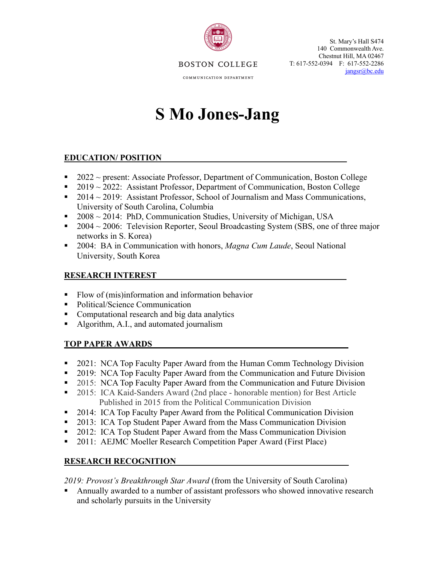

St. Mary's Hall S474 140 Commonwealth Ave. Chestnut Hill, MA 02467 T: 617-552-0394 F: 617-552-2286 jangsr@bc.edu

**BOSTON COLLEGE** 

COMMUNICATION DEPARTMENT

# **S Mo Jones-Jang**

# **EDUCATION/ POSITION**

- $\blacksquare$  2022 ~ present: Associate Professor, Department of Communication, Boston College
- 2019 ~ 2022: Assistant Professor, Department of Communication, Boston College
- 2014  $\sim$  2019: Assistant Professor, School of Journalism and Mass Communications, University of South Carolina, Columbia
- 2008 ~ 2014: PhD, Communication Studies, University of Michigan, USA
- 2004 ~ 2006: Television Reporter, Seoul Broadcasting System (SBS, one of three major networks in S. Korea)
- § 2004: BA in Communication with honors, *Magna Cum Laude*, Seoul National University, South Korea

# **RESEARCH INTEREST**

- Flow of (mis)information and information behavior
- Political/Science Communication
- Computational research and big data analytics
- Algorithm, A.I., and automated journalism

# **TOP PAPER AWARDS**

- § 2021: NCA Top Faculty Paper Award from the Human Comm Technology Division
- 2019: NCA Top Faculty Paper Award from the Communication and Future Division
- 2015: NCA Top Faculty Paper Award from the Communication and Future Division
- § 2015: ICA Kaid-Sanders Award (2nd place honorable mention) for Best Article Published in 2015 from the Political Communication Division
- § 2014: ICA Top Faculty Paper Award from the Political Communication Division
- § 2013: ICA Top Student Paper Award from the Mass Communication Division
- § 2012: ICA Top Student Paper Award from the Mass Communication Division
- § 2011: AEJMC Moeller Research Competition Paper Award (First Place)

# **RESEARCH RECOGNITION**

*2019: Provost's Breakthrough Star Award* (from the University of South Carolina)

Annually awarded to a number of assistant professors who showed innovative research and scholarly pursuits in the University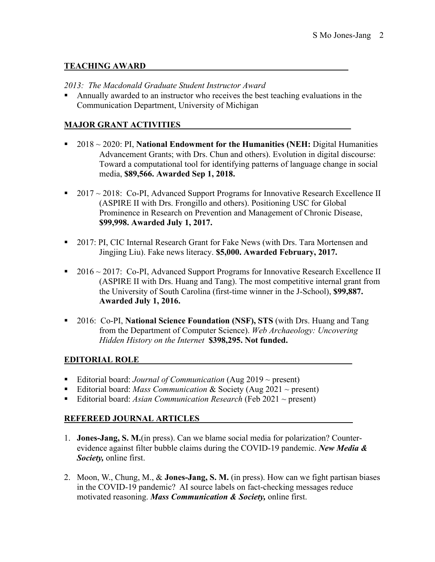# **TEACHING AWARD**

#### *2013: The Macdonald Graduate Student Instructor Award*

■ Annually awarded to an instructor who receives the best teaching evaluations in the Communication Department, University of Michigan

## **MAJOR GRANT ACTIVITIES \_**

- 2018 ~ 2020: PI, **National Endowment for the Humanities (NEH:** Digital Humanities Advancement Grants; with Drs. Chun and others). Evolution in digital discourse: Toward a computational tool for identifying patterns of language change in social media, **\$89,566. Awarded Sep 1, 2018.**
- $2017 \sim 2018$ : Co-PI, Advanced Support Programs for Innovative Research Excellence II (ASPIRE II with Drs. Frongillo and others). Positioning USC for Global Prominence in Research on Prevention and Management of Chronic Disease, **\$99,998. Awarded July 1, 2017.**
- 2017: PI, CIC Internal Research Grant for Fake News (with Drs. Tara Mortensen and Jingjing Liu). Fake news literacy. **\$5,000. Awarded February, 2017.**
- $2016 \sim 2017$ : Co-PI, Advanced Support Programs for Innovative Research Excellence II (ASPIRE II with Drs. Huang and Tang). The most competitive internal grant from the University of South Carolina (first-time winner in the J-School), **\$99,887. Awarded July 1, 2016.**
- § 2016: Co-PI, **National Science Foundation (NSF), STS** (with Drs. Huang and Tang from the Department of Computer Science). *Web Archaeology: Uncovering Hidden History on the Internet* **\$398,295. Not funded.**

### **EDITORIAL ROLE\_\_\_\_\_ \_\_\_\_\_ \_**

- Editorial board: *Journal of Communication* (Aug 2019 ~ present)
- Editorial board: *Mass Communication* & Society (Aug 2021 ~ present)
- Editorial board: *Asian Communication Research* (Feb 2021 ~ present)

### **REFEREED JOURNAL ARTICLES \_**

- 1. **Jones-Jang, S. M.**(in press). Can we blame social media for polarization? Counterevidence against filter bubble claims during the COVID-19 pandemic. *New Media & Society,* online first.
- 2. Moon, W., Chung, M., & **Jones-Jang, S. M.** (in press). How can we fight partisan biases in the COVID-19 pandemic? AI source labels on fact-checking messages reduce motivated reasoning. *Mass Communication & Society,* online first.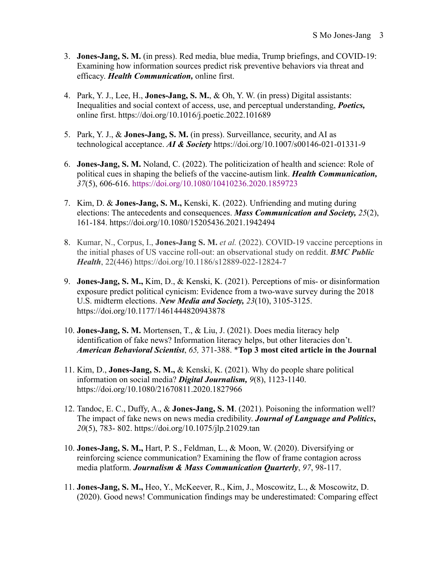- 3. **Jones-Jang, S. M.** (in press). Red media, blue media, Trump briefings, and COVID-19: Examining how information sources predict risk preventive behaviors via threat and efficacy. *Health Communication,* online first.
- 4. Park, Y. J., Lee, H., **Jones-Jang, S. M.**, & Oh, Y. W. (in press) Digital assistants: Inequalities and social context of access, use, and perceptual understanding, *Poetics,* online first. https://doi.org/10.1016/j.poetic.2022.101689
- 5. Park, Y. J., & **Jones-Jang, S. M.** (in press). Surveillance, security, and AI as technological acceptance. *AI & Society* https://doi.org/10.1007/s00146-021-01331-9
- 6. **Jones-Jang, S. M.** Noland, C. (2022). The politicization of health and science: Role of political cues in shaping the beliefs of the vaccine-autism link. *Health Communication, 37*(5), 606-616. https://doi.org/10.1080/10410236.2020.1859723
- 7. Kim, D. & **Jones-Jang, S. M.,** Kenski, K. (2022). Unfriending and muting during elections: The antecedents and consequences. *Mass Communication and Society, 25*(2), 161-184. https://doi.org/10.1080/15205436.2021.1942494
- 8. Kumar, N., Corpus, I., **Jones-Jang S. M.** *et al.* (2022). COVID-19 vaccine perceptions in the initial phases of US vaccine roll-out: an observational study on reddit. *BMC Public Health*, 22(446) https://doi.org/10.1186/s12889-022-12824-7
- 9. **Jones-Jang, S. M.,** Kim, D., & Kenski, K. (2021). Perceptions of mis- or disinformation exposure predict political cynicism: Evidence from a two-wave survey during the 2018 U.S. midterm elections. *New Media and Society, 23*(10), 3105-3125. https://doi.org/10.1177/1461444820943878
- 10. **Jones-Jang, S. M.** Mortensen, T., & Liu, J. (2021). Does media literacy help identification of fake news? Information literacy helps, but other literacies don't. *American Behavioral Scientist*, *65,* 371-388. \***Top 3 most cited article in the Journal**
- 11. Kim, D., **Jones-Jang, S. M.,** & Kenski, K. (2021). Why do people share political information on social media? *Digital Journalism, 9*(8), 1123-1140. https://doi.org/10.1080/21670811.2020.1827966
- 12. Tandoc, E. C., Duffy, A., & **Jones-Jang, S. M**. (2021). Poisoning the information well? The impact of fake news on news media credibility. *Journal of Language and Politics***,**  *20*(5), 783- 802. https://doi.org/10.1075/jlp.21029.tan
- 10. **Jones-Jang, S. M.,** Hart, P. S., Feldman, L., & Moon, W. (2020). Diversifying or reinforcing science communication? Examining the flow of frame contagion across media platform. *Journalism & Mass Communication Quarterly*, *97*, 98-117.
- 11. **Jones-Jang, S. M.,** Heo, Y., McKeever, R., Kim, J., Moscowitz, L., & Moscowitz, D. (2020). Good news! Communication findings may be underestimated: Comparing effect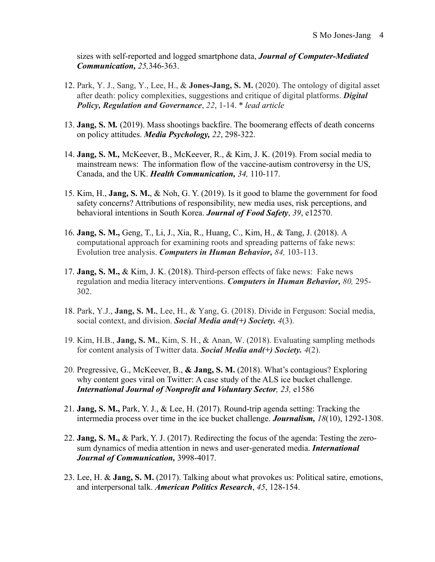sizes with self-reported and logged smartphone data, *Journal of Computer-Mediated Communication, 25,*346-363.

- 12. Park, Y. J., Sang, Y., Lee, H., & **Jones-Jang, S. M.** (2020). The ontology of digital asset after death: policy complexities, suggestions and critique of digital platforms. *Digital Policy, Regulation and Governance*, *22*, 1-14. \* *lead article*
- 13. **Jang, S. M***.* (2019). Mass shootings backfire. The boomerang effects of death concerns on policy attitudes. *Media Psychology, 22*, 298-322.
- 14. **Jang, S. M***.,* McKeever, B., McKeever, R., & Kim, J. K. (2019). From social media to mainstream news: The information flow of the vaccine-autism controversy in the US, Canada, and the UK. *Health Communication, 34,* 110-117.
- 15. Kim, H., **Jang, S. M.**, & Noh, G. Y. (2019). Is it good to blame the government for food safety concerns? Attributions of responsibility, new media uses, risk perceptions, and behavioral intentions in South Korea. *Journal of Food Safety*, *39*, e12570.
- 16. **Jang, S. M.,** Geng, T., Li, J., Xia, R., Huang, C., Kim, H., & Tang, J. (2018). A computational approach for examining roots and spreading patterns of fake news: Evolution tree analysis. *Computers in Human Behavior, 84,* 103-113.
- 17. **Jang, S. M.,** & Kim, J. K. (2018). Third-person effects of fake news: Fake news regulation and media literacy interventions. *Computers in Human Behavior, 80,* 295- 302.
- 18. Park, Y.J., **Jang, S. M.**, Lee, H., & Yang, G. (2018). Divide in Ferguson: Social media, social context, and division. *Social Media and(+) Society. 4*(3).
- 19. Kim, H.B., **Jang, S. M.**, Kim, S. H., & Anan, W. (2018). Evaluating sampling methods for content analysis of Twitter data. *Social Media and(+) Society. 4*(2).
- 20. Pregressive, G., McKeever, B., **& Jang, S. M.** (2018). What's contagious? Exploring why content goes viral on Twitter: A case study of the ALS ice bucket challenge. *International Journal of Nonprofit and Voluntary Sector, 23,* e1586
- 21. **Jang, S. M.,** Park, Y. J., & Lee, H. (2017). Round-trip agenda setting: Tracking the intermedia process over time in the ice bucket challenge. *Journalism, 18*(10), 1292-1308.
- 22. **Jang, S. M.,** & Park, Y. J. (2017). Redirecting the focus of the agenda: Testing the zerosum dynamics of media attention in news and user-generated media. *International Journal of Communication,* 3998-4017.
- 23. Lee, H. & **Jang, S. M.** (2017). Talking about what provokes us: Political satire, emotions, and interpersonal talk. *American Politics Research*, *45*, 128-154.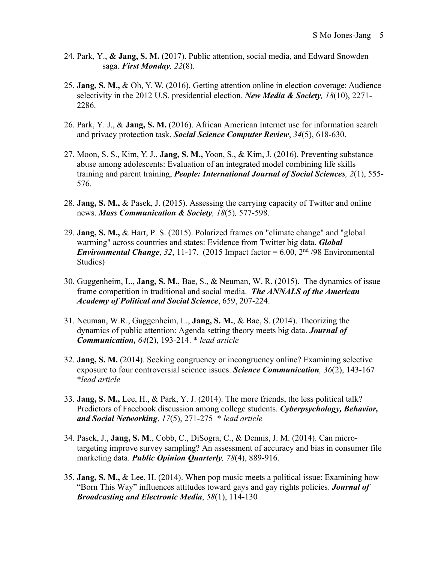- 24. Park, Y., **& Jang, S. M.** (2017). Public attention, social media, and Edward Snowden saga. *First Monday, 22*(8).
- 25. **Jang, S. M.,** & Oh, Y. W. (2016). Getting attention online in election coverage: Audience selectivity in the 2012 U.S. presidential election. *New Media & Society, 18*(10), 2271- 2286.
- 26. Park, Y. J., & **Jang, S. M.** (2016). African American Internet use for information search and privacy protection task. *Social Science Computer Review*, *34*(5), 618-630.
- 27. Moon, S. S., Kim, Y. J., **Jang, S. M.,** Yoon, S., & Kim, J. (2016). Preventing substance abuse among adolescents: Evaluation of an integrated model combining life skills training and parent training, *People: International Journal of Social Sciences, 2*(1), 555- 576.
- 28. **Jang, S. M.,** & Pasek, J. (2015). Assessing the carrying capacity of Twitter and online news. *Mass Communication & Society, 18*(5)*,* 577-598.
- 29. **Jang, S. M.,** & Hart, P. S. (2015). Polarized frames on "climate change" and "global warming" across countries and states: Evidence from Twitter big data. *Global Environmental Change*, 32, 11-17. (2015 Impact factor = 6.00,  $2<sup>nd</sup>$  /98 Environmental Studies)
- 30. Guggenheim, L., **Jang, S. M.**, Bae, S., & Neuman, W. R. (2015). The dynamics of issue frame competition in traditional and social media. *The ANNALS of the American Academy of Political and Social Science*, 659, 207-224.
- 31. Neuman, W.R., Guggenheim, L., **Jang, S. M.**, & Bae, S. (2014). Theorizing the dynamics of public attention: Agenda setting theory meets big data. *Journal of Communication, 64*(2), 193-214. \* *lead article*
- 32. **Jang, S. M.** (2014). Seeking congruency or incongruency online? Examining selective exposure to four controversial science issues. *Science Communication, 36*(2), 143-167 \**lead article*
- 33. **Jang, S. M.,** Lee, H., & Park, Y. J. (2014). The more friends, the less political talk? Predictors of Facebook discussion among college students. *Cyberpsychology, Behavior, and Social Networking*, *17*(5), 271-275 \* *lead article*
- 34. Pasek, J., **Jang, S. M**., Cobb, C., DiSogra, C., & Dennis, J. M. (2014). Can microtargeting improve survey sampling? An assessment of accuracy and bias in consumer file marketing data. *Public Opinion Quarterly, 78*(4), 889-916.
- 35. **Jang, S. M.,** & Lee, H. (2014). When pop music meets a political issue: Examining how "Born This Way" influences attitudes toward gays and gay rights policies. *Journal of Broadcasting and Electronic Media*, *58*(1), 114-130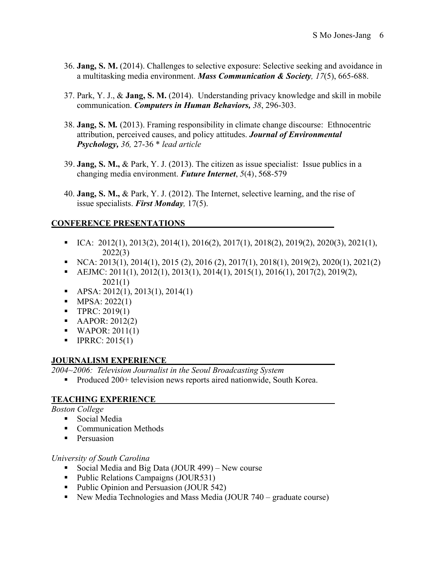- 36. **Jang, S. M.** (2014). Challenges to selective exposure: Selective seeking and avoidance in a multitasking media environment. *Mass Communication & Society, 17*(5), 665-688.
- 37. Park, Y. J., & **Jang, S. M.** (2014). Understanding privacy knowledge and skill in mobile communication. *Computers in Human Behaviors, 38*, 296-303.
- 38. **Jang, S. M***.* (2013). Framing responsibility in climate change discourse: Ethnocentric attribution, perceived causes, and policy attitudes. *Journal of Environmental Psychology, 36,* 27-36 \* *lead article*
- 39. **Jang, S. M.,** & Park, Y. J. (2013). The citizen as issue specialist: Issue publics in a changing media environment. *Future Internet*, *5*(4), 568-579
- 40. **Jang, S. M.,** & Park, Y. J. (2012). The Internet, selective learning, and the rise of issue specialists. *First Monday,* 17(5).

# **CONFERENCE PRESENTATIONS**

- $\blacksquare$  ICA: 2012(1), 2013(2), 2014(1), 2016(2), 2017(1), 2018(2), 2019(2), 2020(3), 2021(1), 2022(3)
- $\bullet$  NCA: 2013(1), 2014(1), 2015 (2), 2016 (2), 2017(1), 2018(1), 2019(2), 2020(1), 2021(2)
- AEJMC:  $2011(1)$ ,  $2012(1)$ ,  $2013(1)$ ,  $2014(1)$ ,  $2015(1)$ ,  $2016(1)$ ,  $2017(2)$ ,  $2019(2)$ , 2021(1)
- APSA:  $2012(1)$ ,  $2013(1)$ ,  $2014(1)$
- MPSA:  $2022(1)$
- **•** TPRC:  $2019(1)$
- AAPOR:  $2012(2)$
- $\blacksquare$  WAPOR: 2011(1)
- **•** IPRRC:  $2015(1)$

### **JOURNALISM EXPERIENCE**

*2004~2006: Television Journalist in the Seoul Broadcasting System* 

■ Produced 200+ television news reports aired nationwide, South Korea.

### **TEACHING EXPERIENCE**

*Boston College*

- Social Media
- Communication Methods
- Persuasion

### *University of South Carolina*

- Social Media and Big Data (JOUR 499) New course
- Public Relations Campaigns (JOUR531)
- Public Opinion and Persuasion (JOUR 542)
- New Media Technologies and Mass Media (JOUR 740 graduate course)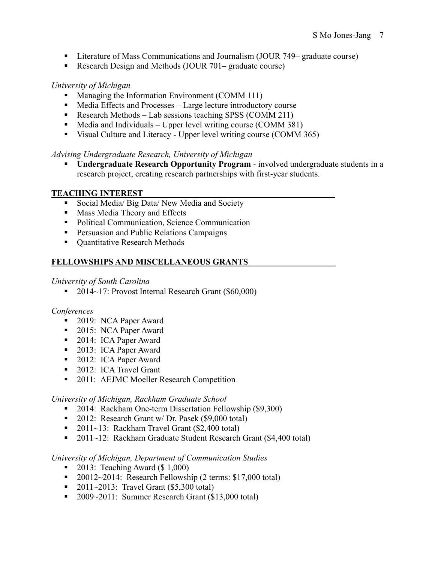- Literature of Mass Communications and Journalism (JOUR 749– graduate course)
- Research Design and Methods (JOUR 701– graduate course)

# *University of Michigan*

- Managing the Information Environment (COMM 111)
- Media Effects and Processes Large lecture introductory course
- Research Methods Lab sessions teaching SPSS (COMM 211)
- Media and Individuals Upper level writing course (COMM 381)
- Visual Culture and Literacy Upper level writing course (COMM 365)

# *Advising Undergraduate Research, University of Michigan*

§ **Undergraduate Research Opportunity Program** - involved undergraduate students in a research project, creating research partnerships with first-year students.

# **TEACHING INTEREST**

- Social Media/ Big Data/ New Media and Society
- Mass Media Theory and Effects
- Political Communication, Science Communication
- Persuasion and Public Relations Campaigns
- Quantitative Research Methods

# **FELLOWSHIPS AND MISCELLANEOUS GRANTS**

### *University of South Carolina*

■ 2014~17: Provost Internal Research Grant (\$60,000)

### *Conferences*

- 2019: NCA Paper Award
- 2015: NCA Paper Award
- 2014: ICA Paper Award
- 2013: ICA Paper Award
- 2012: ICA Paper Award
- 2012: ICA Travel Grant
- 2011: AEJMC Moeller Research Competition

### *University of Michigan, Rackham Graduate School*

- 2014: Rackham One-term Dissertation Fellowship (\$9,300)
- 2012: Research Grant w/ Dr. Pasek (\$9,000 total)
- 2011~13: Rackham Travel Grant (\$2,400 total)
- 2011~12: Rackham Graduate Student Research Grant (\$4,400 total)

### *University of Michigan, Department of Communication Studies*

- 2013: Teaching Award  $(\$ 1,000)$
- 20012~2014: Research Fellowship (2 terms: \$17,000 total)
- 2011~2013: Travel Grant  $(\$5,300$  total)
- 2009~2011: Summer Research Grant (\$13,000 total)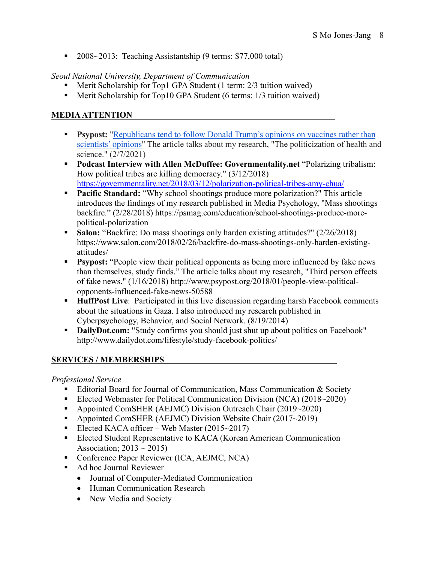■ 2008~2013: Teaching Assistantship (9 terms: \$77,000 total)

# *Seoul National University, Department of Communication*

- Merit Scholarship for Top1 GPA Student (1 term: 2/3 tuition waived)
- Merit Scholarship for Top10 GPA Student (6 terms: 1/3 tuition waived)

# **MEDIA ATTENTION\_\_\_\_\_\_\_**

- **Psypost:** "Republicans tend to follow Donald Trump's opinions on vaccines rather than scientists' opinions" The article talks about my research, "The politicization of health and science." (2/7/2021)
- § **Podcast Interview with Allen McDuffee: Governmentality.net** "Polarizing tribalism: How political tribes are killing democracy." (3/12/2018) https://governmentality.net/2018/03/12/polarization-political-tribes-amy-chua/
- **Pacific Standard:** "Why school shootings produce more polarization?" This article introduces the findings of my research published in Media Psychology, "Mass shootings backfire." (2/28/2018) https://psmag.com/education/school-shootings-produce-morepolitical-polarization
- **Salon:** "Backfire: Do mass shootings only harden existing attitudes?" (2/26/2018) https://www.salon.com/2018/02/26/backfire-do-mass-shootings-only-harden-existingattitudes/
- **•** Psypost: "People view their political opponents as being more influenced by fake news than themselves, study finds." The article talks about my research, "Third person effects of fake news." (1/16/2018) http://www.psypost.org/2018/01/people-view-politicalopponents-influenced-fake-news-50588
- **HuffPost Live**: Participated in this live discussion regarding harsh Facebook comments about the situations in Gaza. I also introduced my research published in Cyberpsychology, Behavior, and Social Network. (8/19/2014)
- **DailyDot.com:** "Study confirms you should just shut up about politics on Facebook" http://www.dailydot.com/lifestyle/study-facebook-politics/

# **SERVICES / MEMBERSHIPS**

### *Professional Service*

- Editorial Board for Journal of Communication, Mass Communication & Society
- Elected Webmaster for Political Communication Division (NCA) (2018~2020)
- Appointed ComSHER (AEJMC) Division Outreach Chair (2019~2020)
- Appointed ComSHER (AEJMC) Division Website Chair (2017~2019)
- Elected KACA officer Web Master (2015~2017)
- Elected Student Representative to KACA (Korean American Communication Association;  $2013 \sim 2015$ )
- Conference Paper Reviewer (ICA, AEJMC, NCA)
- Ad hoc Journal Reviewer
	- Journal of Computer-Mediated Communication
	- Human Communication Research
	- New Media and Society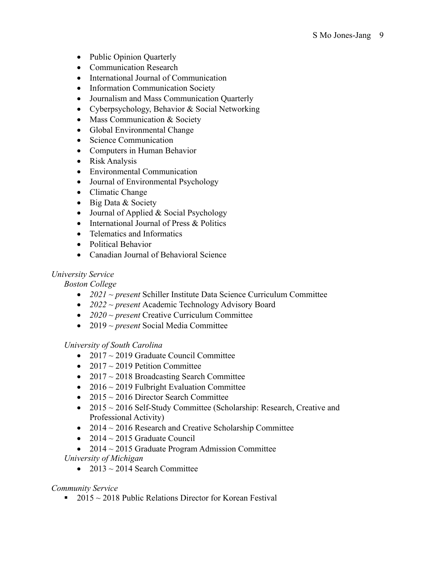- Public Opinion Quarterly
- Communication Research
- International Journal of Communication
- Information Communication Society
- Journalism and Mass Communication Quarterly
- Cyberpsychology, Behavior & Social Networking
- Mass Communication & Society
- Global Environmental Change
- Science Communication
- Computers in Human Behavior
- Risk Analysis
- Environmental Communication
- Journal of Environmental Psychology
- Climatic Change
- Big Data & Society
- Journal of Applied & Social Psychology
- International Journal of Press & Politics
- Telematics and Informatics
- Political Behavior
- Canadian Journal of Behavioral Science

# *University Service*

*Boston College*

- *2021 ~ present* Schiller Institute Data Science Curriculum Committee
- *2022 ~ present* Academic Technology Advisory Board
- *2020 ~ present* Creative Curriculum Committee
- 2019 *~ present* Social Media Committee

*University of South Carolina*

- 2017  $\sim$  2019 Graduate Council Committee
- 2017  $\sim$  2019 Petition Committee
- 2017  $\sim$  2018 Broadcasting Search Committee
- 2016  $\sim$  2019 Fulbright Evaluation Committee
- 2015  $\sim$  2016 Director Search Committee
- 2015 ~ 2016 Self-Study Committee (Scholarship: Research, Creative and Professional Activity)
- 2014  $\sim$  2016 Research and Creative Scholarship Committee
- 2014  $\sim$  2015 Graduate Council
- 2014  $\sim$  2015 Graduate Program Admission Committee *University of Michigan*
	- 2013  $\sim$  2014 Search Committee

# *Community Service*

■ 2015  $\sim$  2018 Public Relations Director for Korean Festival